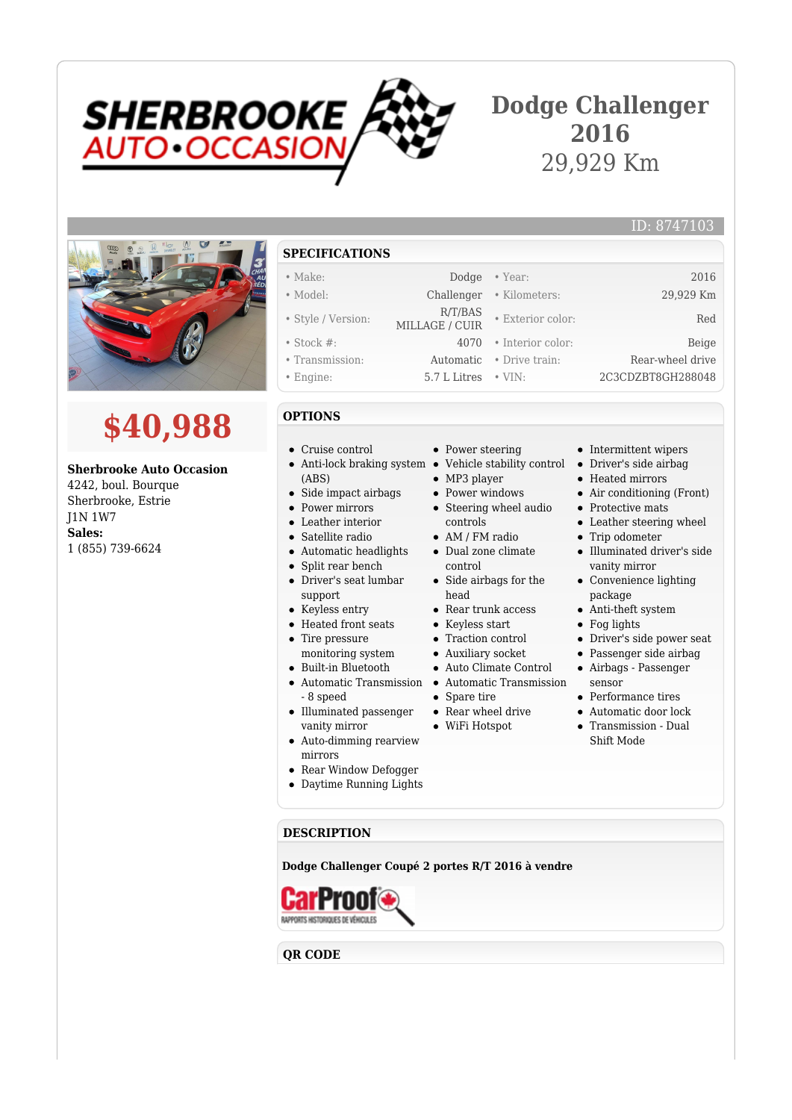

# **Dodge Challenger 2016** 29,929 Km

MILLAGE / CUIR • Exterior color: Red



# **\$40,988**

## **Sherbrooke Auto Occasion**

4242, boul. Bourque Sherbrooke, Estrie J1N 1W7 **Sales:** 1 (855) 739-6624

### **SPECIFICATIONS**

- Make: Dodge Year: 2016
- Model: Challenger Kilometers: 29,929 Km
- Style / Version: R/T/BAS
- Stock #: 4070 Interior color: Beige
- Transmission: Automatic Drive train: Rear-wheel drive
- Engine: 5.7 L Litres VIN: 2C3CDZBT8GH288048

#### **OPTIONS**

- Cruise control
- (ABS)
- Side impact airbags  $\bullet$
- Power mirrors
- Leather interior
- Satellite radio
- Automatic headlights
- $\bullet$ Split rear bench
- Driver's seat lumbar support
- Keyless entry
- Heated front seats
- Tire pressure
- monitoring system
- Built-in Bluetooth
- Automatic Transmission Automatic Transmission - 8 speed
- Illuminated passenger
- vanity mirror Auto-dimming rearview
- mirrors
- Rear Window Defogger
- Daytime Running Lights
- Power steering
- Anti-lock braking system Vehicle stability control
	- MP3 player
	- Power windows • Steering wheel audio
	- controls • AM / FM radio
	- Dual zone climate
	- control • Side airbags for the head
	- Rear trunk access
	- Keyless start
	- Auxiliary socket
	-
	- -
	-
	- -
- Intermittent wipers
- Driver's side airbag
- Heated mirrors
- Air conditioning (Front)

ID: 8747103

- Protective mats
- Leather steering wheel
- Trip odometer Illuminated driver's side vanity mirror
- Convenience lighting package
- Anti-theft system
- Fog lights
- Driver's side power seat
- Passenger side airbag
- Airbags Passenger sensor
- Performance tires
- Automatic door lock
- Transmission Dual Shift Mode

**DESCRIPTION**

**Dodge Challenger Coupé 2 portes R/T 2016 à vendre**



**QR CODE**

- Traction control
	- -
	-
	-
	- Spare tire
	- Rear wheel drive
		-

- Auto Climate Control
- -
- 
- WiFi Hotspot
	-
- 
- 
- 
- -
- -
- -